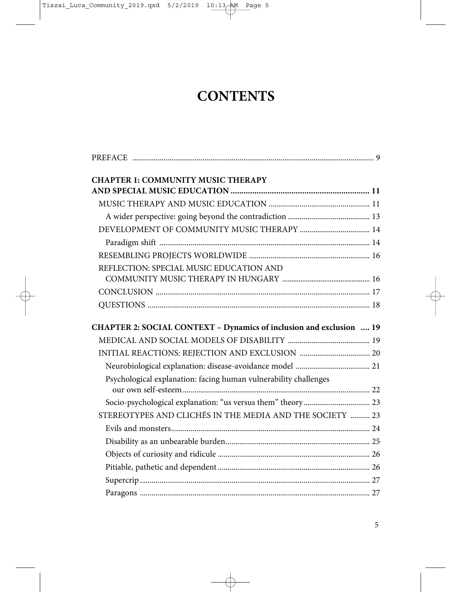## **CONTENTS**

| <b>CHAPTER 1: COMMUNITY MUSIC THERAPY</b>                           |  |
|---------------------------------------------------------------------|--|
|                                                                     |  |
|                                                                     |  |
|                                                                     |  |
|                                                                     |  |
|                                                                     |  |
| REFLECTION: SPECIAL MUSIC EDUCATION AND                             |  |
|                                                                     |  |
|                                                                     |  |
|                                                                     |  |
| CHAPTER 2: SOCIAL CONTEXT - Dynamics of inclusion and exclusion  19 |  |
|                                                                     |  |
|                                                                     |  |
|                                                                     |  |
| Psychological explanation: facing human vulnerability challenges    |  |
|                                                                     |  |
| STEREOTYPES AND CLICHÉS IN THE MEDIA AND THE SOCIETY  23            |  |
|                                                                     |  |
|                                                                     |  |
|                                                                     |  |
|                                                                     |  |
|                                                                     |  |
|                                                                     |  |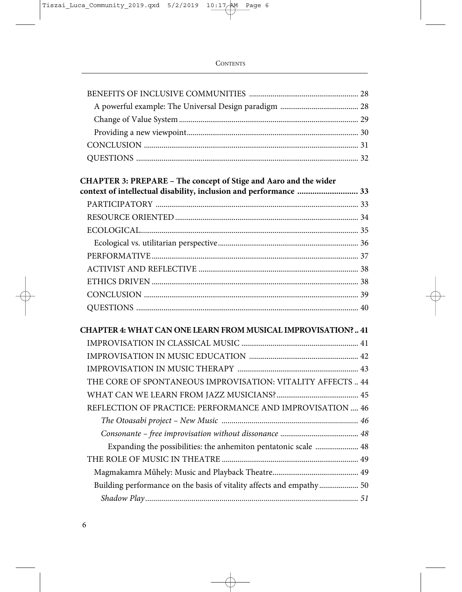| CHAPTER 3: PREPARE - The concept of Stige and Aaro and the wider     |  |
|----------------------------------------------------------------------|--|
| context of intellectual disability, inclusion and performance  33    |  |
|                                                                      |  |
|                                                                      |  |
|                                                                      |  |
|                                                                      |  |
|                                                                      |  |
|                                                                      |  |
|                                                                      |  |
|                                                                      |  |
|                                                                      |  |
| CHAPTER 4: WHAT CAN ONE LEARN FROM MUSICAL IMPROVISATION?  41        |  |
|                                                                      |  |
|                                                                      |  |
|                                                                      |  |
| THE CORE OF SPONTANEOUS IMPROVISATION: VITALITY AFFECTS  44          |  |
|                                                                      |  |
| REFLECTION OF PRACTICE: PERFORMANCE AND IMPROVISATION  46            |  |
|                                                                      |  |
|                                                                      |  |
| Expanding the possibilities: the anhemiton pentatonic scale  48      |  |
|                                                                      |  |
|                                                                      |  |
| Building performance on the basis of vitality affects and empathy 50 |  |
|                                                                      |  |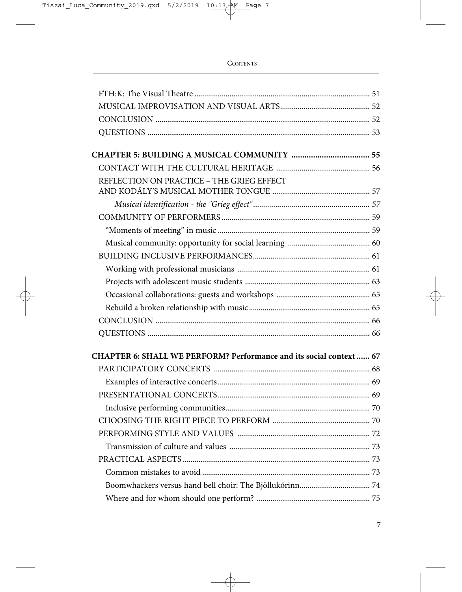| REFLECTION ON PRACTICE - THE GRIEG EFFECT                           |  |
|---------------------------------------------------------------------|--|
|                                                                     |  |
|                                                                     |  |
|                                                                     |  |
|                                                                     |  |
|                                                                     |  |
|                                                                     |  |
|                                                                     |  |
|                                                                     |  |
|                                                                     |  |
|                                                                     |  |
|                                                                     |  |
| CHAPTER 6: SHALL WE PERFORM? Performance and its social context  67 |  |
|                                                                     |  |
|                                                                     |  |
|                                                                     |  |
|                                                                     |  |
|                                                                     |  |
|                                                                     |  |
|                                                                     |  |
|                                                                     |  |
|                                                                     |  |
|                                                                     |  |
|                                                                     |  |